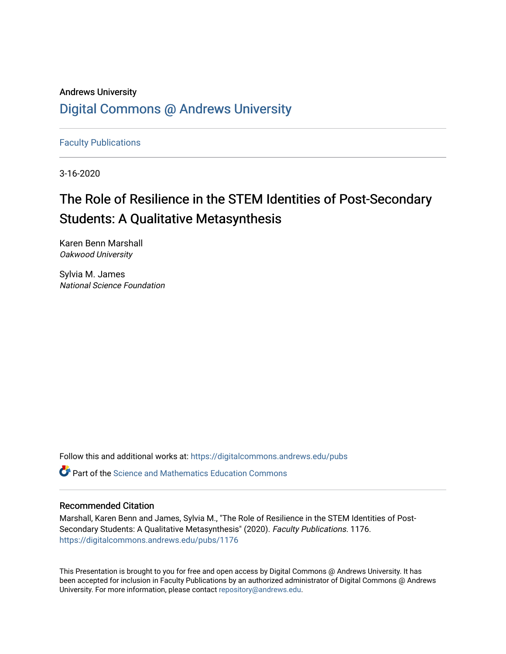#### Andrews University [Digital Commons @ Andrews University](https://digitalcommons.andrews.edu/)

[Faculty Publications](https://digitalcommons.andrews.edu/pubs)

3-16-2020

#### The Role of Resilience in the STEM Identities of Post-Secondary Students: A Qualitative Metasynthesis

Karen Benn Marshall Oakwood University

Sylvia M. James National Science Foundation

Follow this and additional works at: [https://digitalcommons.andrews.edu/pubs](https://digitalcommons.andrews.edu/pubs?utm_source=digitalcommons.andrews.edu%2Fpubs%2F1176&utm_medium=PDF&utm_campaign=PDFCoverPages) 

 $\bullet$  Part of the Science and Mathematics Education Commons

#### Recommended Citation

Marshall, Karen Benn and James, Sylvia M., "The Role of Resilience in the STEM Identities of Post-Secondary Students: A Qualitative Metasynthesis" (2020). Faculty Publications. 1176. [https://digitalcommons.andrews.edu/pubs/1176](https://digitalcommons.andrews.edu/pubs/1176?utm_source=digitalcommons.andrews.edu%2Fpubs%2F1176&utm_medium=PDF&utm_campaign=PDFCoverPages) 

This Presentation is brought to you for free and open access by Digital Commons @ Andrews University. It has been accepted for inclusion in Faculty Publications by an authorized administrator of Digital Commons @ Andrews University. For more information, please contact [repository@andrews.edu](mailto:repository@andrews.edu).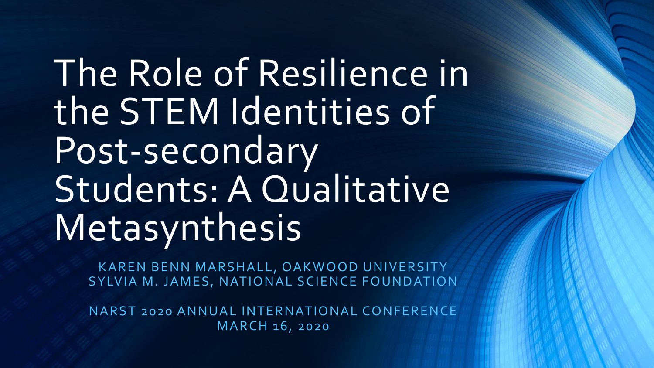# The Role of Resilience in the STEM Identities of Post-secondary Students: A Qualitative Metasynthesis

KAREN BENN MARSHALL, OAKWOOD UNIVERSITY SYLVIA M. JAMES, NATIONAL SCIENCE FOUNDATION

NARST 2020 ANNUAL INTERNATIONAL CONFERENCE MARCH 16, 2020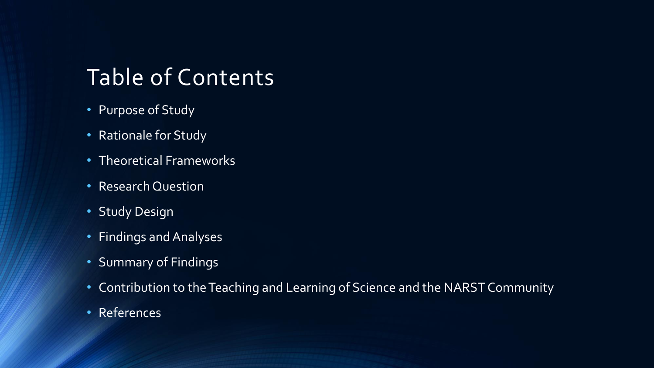### Table of Contents

- Purpose of Study
- Rationale for Study
- Theoretical Frameworks
- Research Question
- Study Design
- Findings and Analyses
- Summary of Findings
- Contribution to the Teaching and Learning of Science and the NARST Community
- References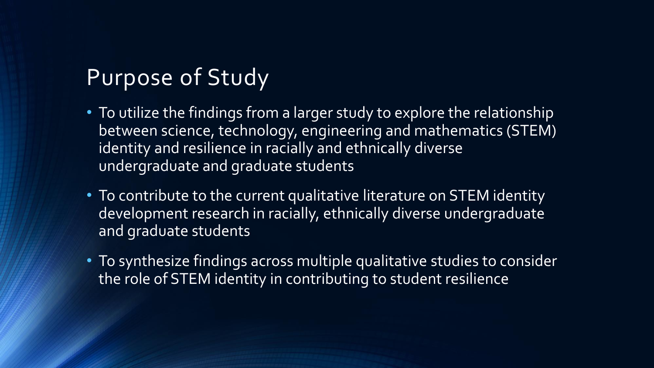### Purpose of Study

- To utilize the findings from a larger study to explore the relationship between science, technology, engineering and mathematics (STEM) identity and resilience in racially and ethnically diverse undergraduate and graduate students
- To contribute to the current qualitative literature on STEM identity development research in racially, ethnically diverse undergraduate and graduate students
- To synthesize findings across multiple qualitative studies to consider the role of STEM identity in contributing to student resilience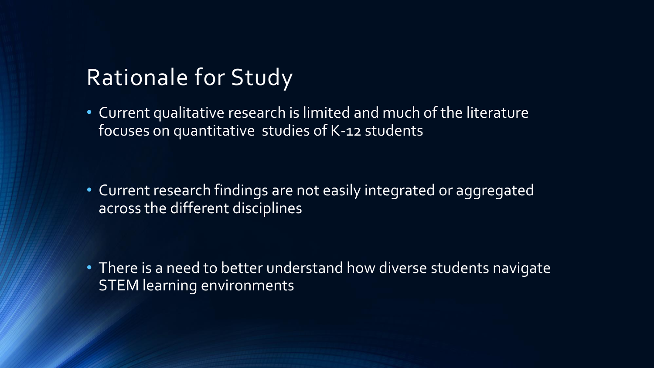#### Rationale for Study

• Current qualitative research is limited and much of the literature focuses on quantitative studies of K-12 students

• Current research findings are not easily integrated or aggregated across the different disciplines

• There is a need to better understand how diverse students navigate STEM learning environments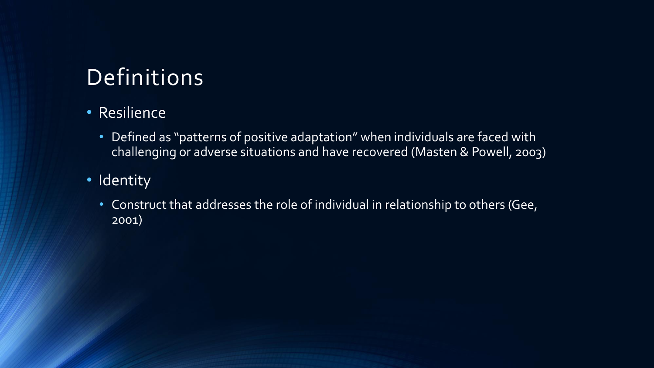## Definitions

#### • Resilience

- Defined as "patterns of positive adaptation" when individuals are faced with challenging or adverse situations and have recovered (Masten & Powell, 2003)
- Identity
	- Construct that addresses the role of individual in relationship to others (Gee, 2001)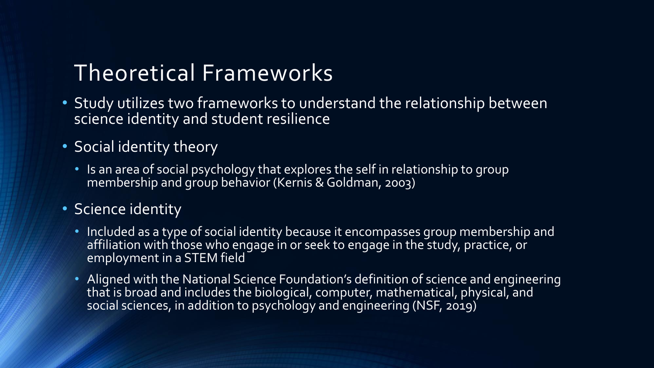#### Theoretical Frameworks

- Study utilizes two frameworks to understand the relationship between science identity and student resilience
- Social identity theory
	- Is an area of social psychology that explores the self in relationship to group membership and group behavior (Kernis & Goldman, 2003)

#### • Science identity

- Included as a type of social identity because it encompasses group membership and affiliation with those who engage in or seek to engage in the study, practice, or employment in a STEM field
- Aligned with the National Science Foundation's definition of science and engineering that is broad and includes the biological, computer, mathematical, physical, and social sciences, in addition to psychology and engineering (NSF, 2019)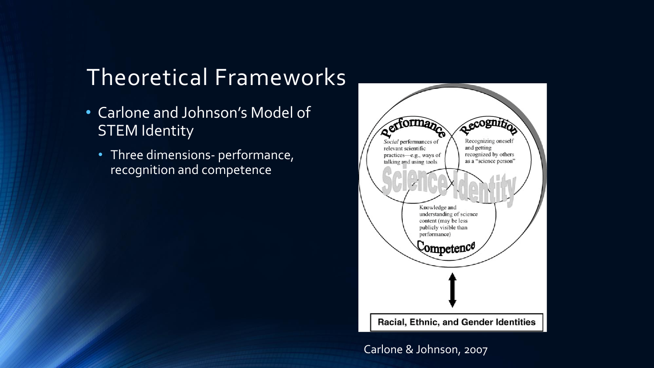### Theoretical Frameworks

- Carlone and Johnson's Model of STEM Identity
	- Three dimensions- performance, recognition and competence



Carlone & Johnson, 2007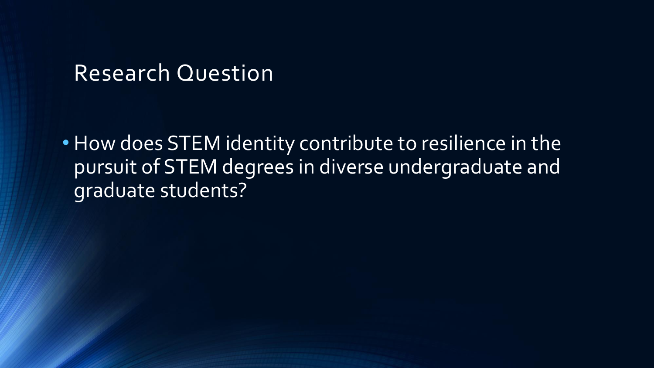#### Research Question

• How does STEM identity contribute to resilience in the pursuit of STEM degrees in diverse undergraduate and graduate students?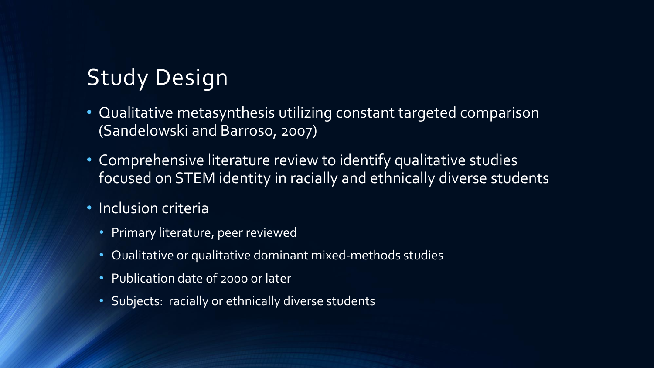## Study Design

- Qualitative metasynthesis utilizing constant targeted comparison (Sandelowski and Barroso, 2007)
- Comprehensive literature review to identify qualitative studies focused on STEM identity in racially and ethnically diverse students
- Inclusion criteria
	- Primary literature, peer reviewed
	- Qualitative or qualitative dominant mixed-methods studies
	- Publication date of 200o or later
	- Subjects: racially or ethnically diverse students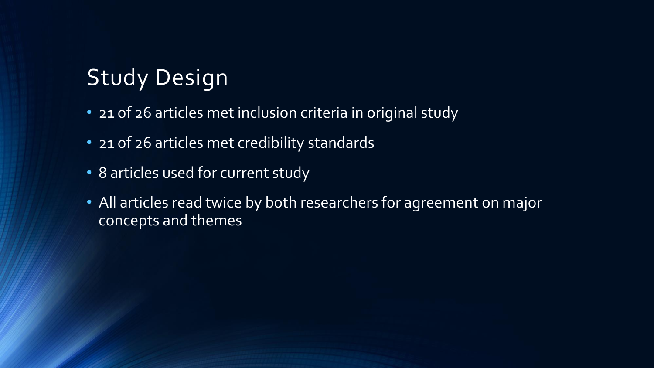## Study Design

- 21 of 26 articles met inclusion criteria in original study
- 21 of 26 articles met credibility standards
- 8 articles used for current study
- All articles read twice by both researchers for agreement on major concepts and themes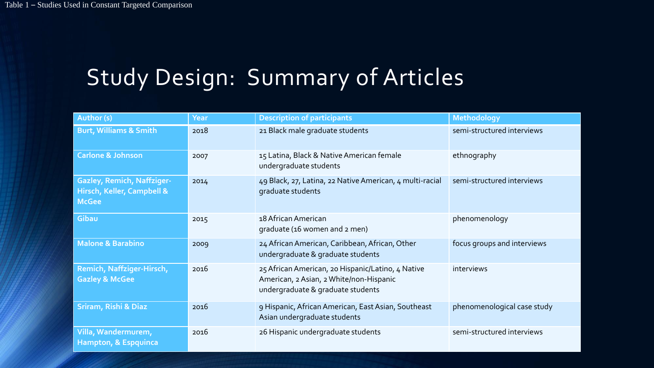## Study Design: Summary of Articles

| Author (s)                                                                      | Year | <b>Description of participants</b>                                                                                                | Methodology                 |
|---------------------------------------------------------------------------------|------|-----------------------------------------------------------------------------------------------------------------------------------|-----------------------------|
| <b>Burt, Williams &amp; Smith</b>                                               | 2018 | 21 Black male graduate students                                                                                                   | semi-structured interviews  |
| <b>Carlone &amp; Johnson</b>                                                    | 2007 | 15 Latina, Black & Native American female<br>undergraduate students                                                               | ethnography                 |
| <b>Gazley, Remich, Naffziger-</b><br>Hirsch, Keller, Campbell &<br><b>McGee</b> | 2014 | 49 Black, 27, Latina, 22 Native American, 4 multi-racial<br>graduate students                                                     | semi-structured interviews  |
| Gibau                                                                           | 2015 | 18 African American<br>graduate (16 women and 2 men)                                                                              | phenomenology               |
| <b>Malone &amp; Barabino</b>                                                    | 2009 | 24 African American, Caribbean, African, Other<br>undergraduate & graduate students                                               | focus groups and interviews |
| Remich, Naffziger-Hirsch,<br><b>Gazley &amp; McGee</b>                          | 2016 | 25 African American, 20 Hispanic/Latino, 4 Native<br>American, 2 Asian, 2 White/non-Hispanic<br>undergraduate & graduate students | interviews                  |
| Sriram, Rishi & Diaz                                                            | 2016 | 9 Hispanic, African American, East Asian, Southeast<br>Asian undergraduate students                                               | phenomenological case study |
| Villa, Wandermurem,<br>Hampton, & Espquinca                                     | 2016 | 26 Hispanic undergraduate students                                                                                                | semi-structured interviews  |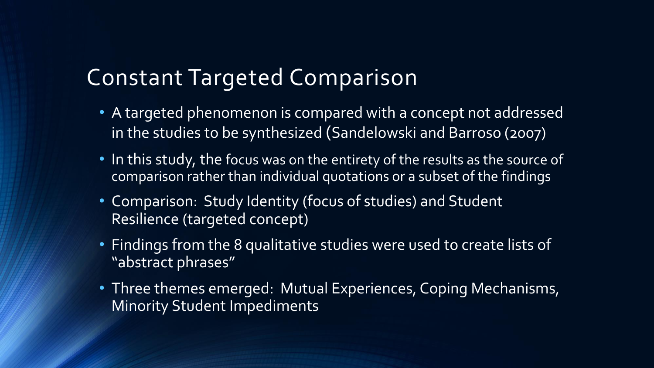#### Constant Targeted Comparison

- A targeted phenomenon is compared with a concept not addressed in the studies to be synthesized (Sandelowski and Barroso (2007)
- In this study, the focus was on the entirety of the results as the source of comparison rather than individual quotations or a subset of the findings
- Comparison: Study Identity (focus of studies) and Student Resilience (targeted concept)
- Findings from the 8 qualitative studies were used to create lists of "abstract phrases"
- Three themes emerged: Mutual Experiences, Coping Mechanisms, Minority Student Impediments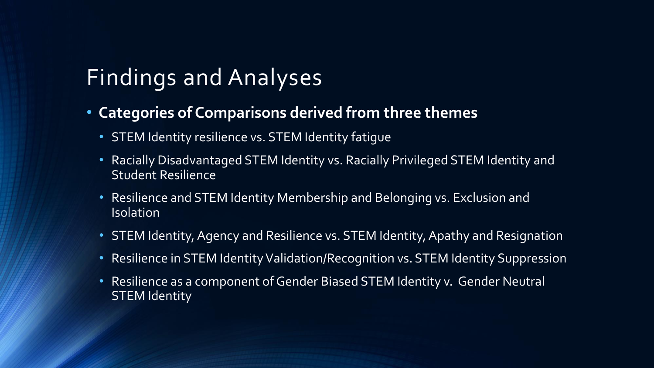### Findings and Analyses

- **Categories of Comparisons derived from three themes**
	- STEM Identity resilience vs. STEM Identity fatigue
	- Racially Disadvantaged STEM Identity vs. Racially Privileged STEM Identity and Student Resilience
	- Resilience and STEM Identity Membership and Belonging vs. Exclusion and Isolation
	- STEM Identity, Agency and Resilience vs. STEM Identity, Apathy and Resignation
	- Resilience in STEM Identity Validation/Recognition vs. STEM Identity Suppression
	- Resilience as a component of Gender Biased STEM Identity v. Gender Neutral STEM Identity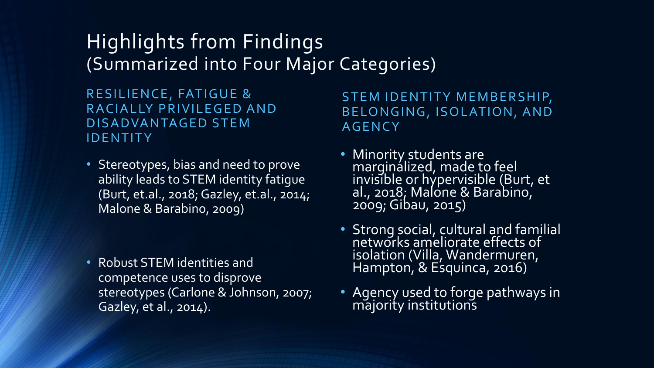#### Highlights from Findings (Summarized into Four Major Categories)

RESILIENCE, FATIGUE & RACIALLY PRIVILEGED AND DISADVANTAGED STEM **IDENTITY** 

• Stereotypes, bias and need to prove ability leads to STEM identity fatigue (Burt, et.al., 2018; Gazley, et.al., 2014; Malone & Barabino, 2009)

• Robust STEM identities and competence uses to disprove stereotypes (Carlone & Johnson, 2007; Gazley, et al., 2014).

STEM IDENTITY MEMBERSHIP, BELONGING, ISOLATION, AND **AGENCY** 

- **Minority students are** marginalized, made to feel invisible or hypervisible (Burt, et al., 2018; Malone & Barabino, 2009; Gibau, 2015)
- Strong social, cultural and familial networks ameliorate effects of isolation (Villa, Wandermuren, Hampton, & Esquinca, 2016)
- Agency used to forge pathways in majority institutions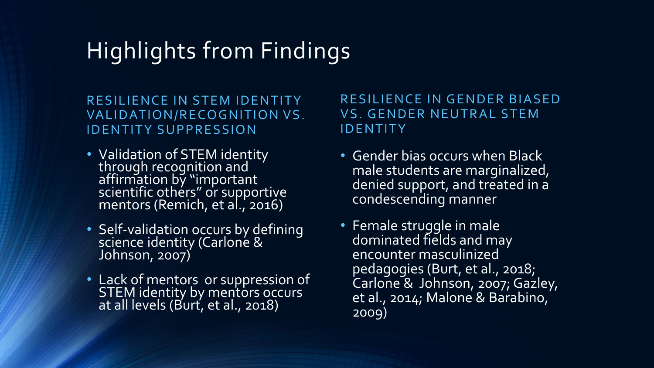## Highlights from Findings

RESILIENCE IN STEM IDENTITY VALIDATION/RECOGNITION VS. **IDENTITY SUPPRESSION** 

- Validation of STEM identity through recognition and affirmation by "important scientific others" or supportive mentors (Remich, et al., 2016)
- Self-validation occurs by defining science identity (Carloné & Johnson, 2007)
- Lack of mentors or suppression of STEM identity by mentors occurs at all levels (Burt, et al., 2018)

#### RESILIENCE IN GENDER BIASED VS. GENDER NEUTRAL STEM **IDENTITY**

- Gender bias occurs when Black male students are marginalized, denied support, and treated in a condescending manner
- Female struggle in male dominated fields and may encounter masculinized pedagogies (Burt, et al., 2018; Carlone & Johnson, 2007; Gazley, et al., 2014; Malone & Barabino, 2009)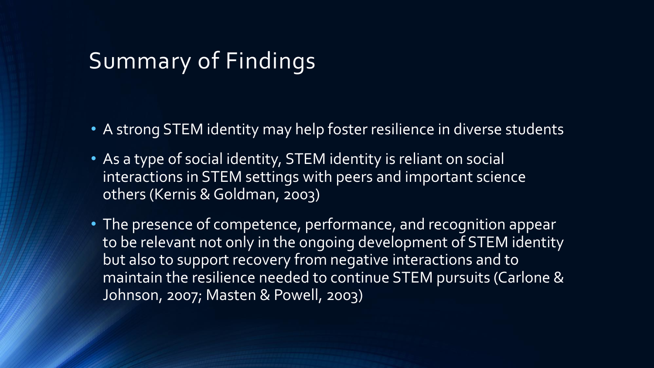#### Summary of Findings

- A strong STEM identity may help foster resilience in diverse students
- As a type of social identity, STEM identity is reliant on social interactions in STEM settings with peers and important science others (Kernis & Goldman, 2003)
- The presence of competence, performance, and recognition appear to be relevant not only in the ongoing development of STEM identity but also to support recovery from negative interactions and to maintain the resilience needed to continue STEM pursuits (Carlone & Johnson, 2007; Masten & Powell, 2003)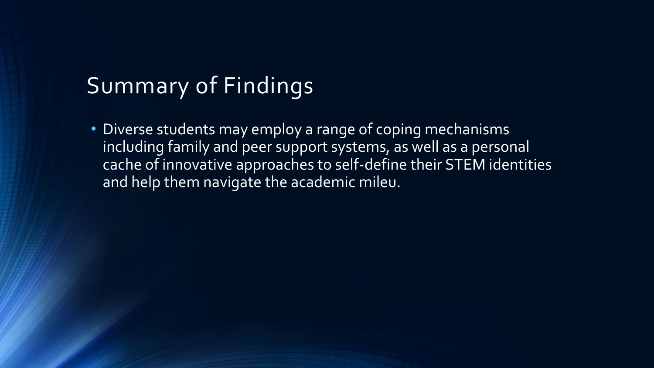### Summary of Findings

• Diverse students may employ a range of coping mechanisms including family and peer support systems, as well as a personal cache of innovative approaches to self-define their STEM identities and help them navigate the academic mileu.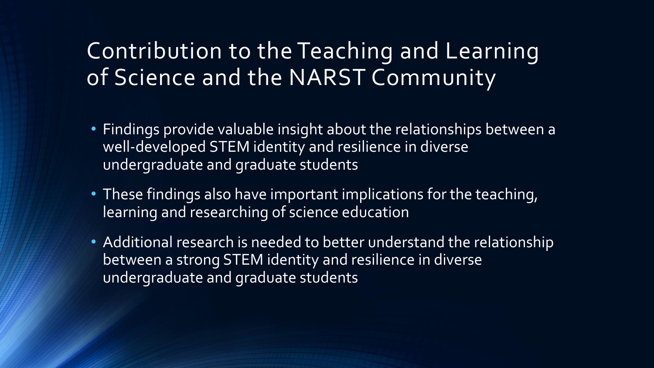#### Contribution to the Teaching and Learning of Science and the NARST Community

- Findings provide valuable insight about the relationships between a well-developed STEM identity and resilience in diverse undergraduate and graduate students
- These findings also have important implications for the teaching, learning and researching of science education
- Additional research is needed to better understand the relationship between a strong STEM identity and resilience in diverse undergraduate and graduate students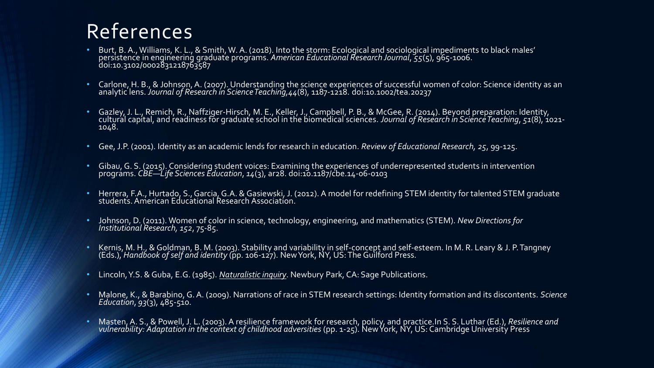#### References

- Burt, B. A., Williams, K. L., & Smith, W. A. (2018). Into the storm: Ecological and sociological impediments to black males' persistence in engineering graduate programs. *American Educational Research Journal*, *55*(5), 965-1006. doi:10.3102/0002831218763587
- Carlone, H. B., & Johnson, A. (2007). Understanding the science experiences of successful women of color: Science identity as an analytic lens. *Journal of Research in Science Teaching,44*(8), 1187-1218. doi:10.1002/tea.20237
- Gazley, J. L., Remich, R., Naffziger-Hirsch, M. E., Keller, J., Campbell, P. B., & McGee, R. (2014). Beyond preparation: Identity, cultural capital, and readiness for graduate school in the biomedical sciences. *Journal of Research in Science Teaching*, *51*(8), 1021- 1048.
- Gee, J.P. (2001). Identity as an academic lends for research in education. *Review of Educational Research, 25*, 99-125.
- Gibau,G. S. (2015). Considering student voices: Examining the experiences of underrepresented students in intervention programs. *CBE—Life Sciences Education*, *14*(3), ar28. doi:10.1187/cbe.14-06-0103
- Herrera, F.A., Hurtado, S., Garcia, G.A. & Gasiewski, J. (2012). A model for redefining STEM identity for talented STEM graduate students. American Educational Research Association.
- Johnson, D. (2011). Women of color in science, technology, engineering, and mathematics (STEM). *New Directions for Institutional Research, 152*, 75-85.
- Kernis, M. H., & Goldman, B. M. (2003). Stability and variability in self-concept and self-esteem. In M. R. Leary & J. P. Tangney (Eds.), *Handbook of self and identity* (pp. 106-127). New York, NY, US: The Guilford Press.
- Lincoln, Y.S. & Guba, E.G. (1985). *Naturalistic inquiry*. Newbury Park, CA: Sage Publications.
- Malone, K., & Barabino, G.A. (2009). Narrations of race in STEM research settings: Identity formation and its discontents. *Science Education*, *93*(3), 485-510.
- Masten, A. S., & Powell, J. L. (2003). A resilience framework for research, policy, and practice.In S. S. Luthar (Ed.), *Resilience and vulnerability: Adaptation in the context of childhood adversities* (pp. 1-25). New York, NY, US: Cambridge University Press